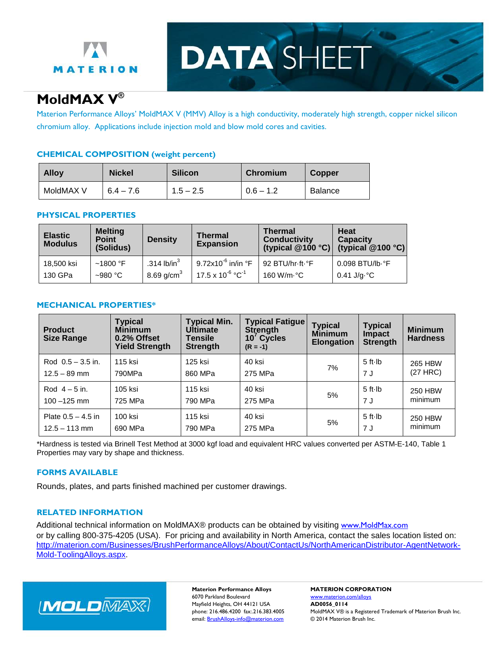

**DATA SHEET** 

# **MoldMAX V®**

Materion Performance Alloys' MoldMAX V (MMV) Alloy is a high conductivity, moderately high strength, copper nickel silicon chromium alloy. Applications include injection mold and blow mold cores and cavities.

## **CHEMICAL COMPOSITION (weight percent)**

| <b>Alloy</b> | <b>Nickel</b> | <b>Silicon</b> | Chromium    | <b>Copper</b>  |
|--------------|---------------|----------------|-------------|----------------|
| MoldMAX V    | $6.4 - 7.6$   | $1.5 - 2.5$    | $0.6 - 1.2$ | <b>Balance</b> |

#### **PHYSICAL PROPERTIES**

| <b>Elastic</b><br><b>Modulus</b> | <b>Melting</b><br><b>Point</b><br>(Solidus) | <b>Density</b>         | Thermal<br><b>Expansion</b>           | <b>Thermal</b><br><b>Conductivity</b><br>(typical $@100 °C$ ) | <b>Heat</b><br><b>Capacity</b><br>(typical $@100 °C$ ) |
|----------------------------------|---------------------------------------------|------------------------|---------------------------------------|---------------------------------------------------------------|--------------------------------------------------------|
| 18,500 ksi                       | $~1800~\mathrm{^{\circ}F}$                  | .314 lb/in $3$         | $9.72$ x10 <sup>-6</sup> in/in °F     | 92 BTU/hr-ft-°F                                               | $0.098$ BTU/lb $\cdot$ °F                              |
| 130 GPa                          | $~10^{\circ}$ C                             | 8.69 g/cm <sup>3</sup> | $17.5 \times 10^{-6} \text{ °C}^{-1}$ | 160 W/m·°C                                                    | $0.41$ J/g $\cdot$ °C                                  |

### **MECHANICAL PROPERTIES\***

| <b>Product</b><br><b>Size Range</b> | <b>Typical</b><br><b>Minimum</b><br>0.2% Offset<br><b>Yield Strength</b> | <b>Typical Min.</b><br><b>Ultimate</b><br>Tensile<br><b>Strength</b> | <b>Typical Fatigue</b><br>Strength<br>10 <sup>'</sup> Cycles<br>$(R = -1)$ | <b>Typical</b><br><b>Minimum</b><br><b>Elongation</b> | <b>Typical</b><br><b>Impact</b><br><b>Strength</b> | <b>Minimum</b><br><b>Hardness</b> |
|-------------------------------------|--------------------------------------------------------------------------|----------------------------------------------------------------------|----------------------------------------------------------------------------|-------------------------------------------------------|----------------------------------------------------|-----------------------------------|
| Rod $0.5 - 3.5$ in.                 | 115 ksi                                                                  | 125 ksi                                                              | 40 ksi                                                                     | 7%                                                    | $5$ ft $\cdot$ Ib                                  | 265 HBW                           |
| $12.5 - 89$ mm                      | 790MPa                                                                   | 860 MPa                                                              | 275 MPa                                                                    |                                                       | 7 J                                                | $(27$ HRC $)$                     |
| Rod $4 - 5$ in.                     | 105 ksi                                                                  | 115 ksi                                                              | 40 ksi                                                                     | 5%                                                    | $5$ ft $\cdot$ lb                                  | <b>250 HBW</b>                    |
| $100 - 125$ mm                      | 725 MPa                                                                  | 790 MPa                                                              | 275 MPa                                                                    |                                                       | 7 J                                                | minimum                           |
| Plate $0.5 - 4.5$ in                | 100 ksi                                                                  | 115 ksi                                                              | 40 ksi                                                                     | 5%                                                    | $5$ ft $\cdot$ Ib                                  | <b>250 HBW</b>                    |
| $12.5 - 113$ mm                     | 690 MPa                                                                  | 790 MPa                                                              | 275 MPa                                                                    |                                                       | 7 J                                                | minimum                           |

\*Hardness is tested via Brinell Test Method at 3000 kgf load and equivalent HRC values converted per ASTM-E-140, Table 1 Properties may vary by shape and thickness.

## **FORMS AVAILABLE**

Rounds, plates, and parts finished machined per customer drawings.

## **RELATED INFORMATION**

Additional technical information on MoldMAX® products can be obtained by visiting [www.MoldMax.com](http://www.moldmax.com/) or by calling 800-375-4205 (USA). For pricing and availability in North America, contact the sales location listed on: [http://materion.com/Businesses/BrushPerformanceAlloys/About/ContactUs/NorthAmericanDistributor-AgentNetwork-](http://materion.com/Businesses/BrushPerformanceAlloys/About/ContactUs/NorthAmericanDistributor-AgentNetwork-Mold-ToolingAlloys.aspx)[Mold-ToolingAlloys.aspx.](http://materion.com/Businesses/BrushPerformanceAlloys/About/ContactUs/NorthAmericanDistributor-AgentNetwork-Mold-ToolingAlloys.aspx)



**Materion Performance Alloys MATERION CORPORATION** 6070 Parkland Boulevard www.materion.com/alloys Mayfield Heights, OH 44121 USA **AD0056\_0114**<br>
phone: 216.486.4200 fax:.216.383.4005 MoldMAX V® is email: **BrushAlloys-info@materion.com** © 2014 Materion Brush Inc.

MoldMAX V® is a Registered Trademark of Materion Brush Inc.